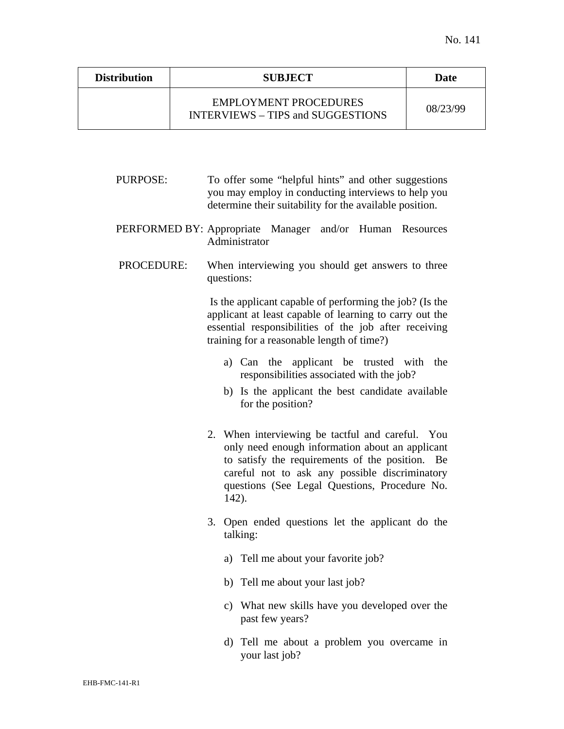| <b>Distribution</b> | <b>SUBJECT</b>                                                           | Date     |
|---------------------|--------------------------------------------------------------------------|----------|
|                     | <b>EMPLOYMENT PROCEDURES</b><br><b>INTERVIEWS – TIPS and SUGGESTIONS</b> | 08/23/99 |

PURPOSE: To offer some "helpful hints" and other suggestions you may employ in conducting interviews to help you determine their suitability for the available position.

PERFORMED BY: Appropriate Manager and/or Human Resources Administrator

## PROCEDURE: When interviewing you should get answers to three questions:

 Is the applicant capable of performing the job? (Is the applicant at least capable of learning to carry out the essential responsibilities of the job after receiving training for a reasonable length of time?)

- a) Can the applicant be trusted with the responsibilities associated with the job?
- b) Is the applicant the best candidate available for the position?
- 2. When interviewing be tactful and careful. You only need enough information about an applicant to satisfy the requirements of the position. Be careful not to ask any possible discriminatory questions (See Legal Questions, Procedure No. 142).
- 3. Open ended questions let the applicant do the talking:
	- a) Tell me about your favorite job?
	- b) Tell me about your last job?
	- c) What new skills have you developed over the past few years?
	- d) Tell me about a problem you overcame in your last job?